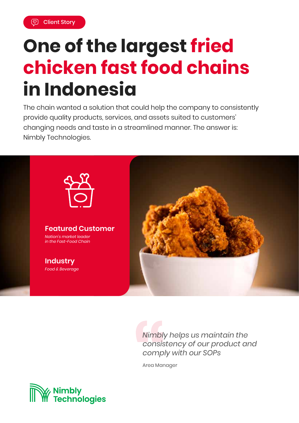# **One of the largest fried chicken fast food chains in Indonesia**

The chain wanted a solution that could help the company to consistently provide quality products, services, and assets suited to customers' changing needs and taste in a streamlined manner. The answer is: Nimbly Technologies.



*Nimbly helps us maintain the consistency of our product and comply with our SOPs*

Area Manager

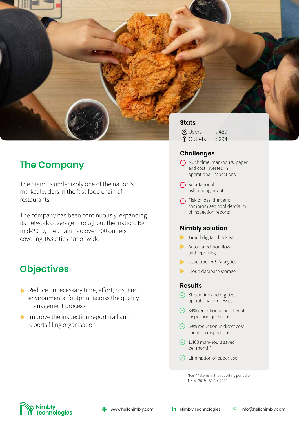

## **The Company**

The brand is undeniably one of the nation's market leaders in the fast-food chain of restaurants.

The company has been continuously expanding its network coverage throughout the nation. By mid-2019, the chain had over 700 outlets covering 163 cities nationwide.

## **Objectives**

- Reduce unnecessary time, effort, cost and environmental footprint across the quality management process
- Improve the inspection report trail and reports filing organisation

#### **Challenges**

- Much time, man-hours, paper and cost invested in operational inspections
- <sup>(1)</sup> Reputational risk management
- **(1)** Risk of loss, theft and compromised confidentiality of inspection reports

#### **Nimbly solution**

- Timed digital checklists
- **Automated workflow** and reporting
- **In Itsue tracker & Analytics**
- $\blacktriangleright$ Cloud database storage

#### **Results**

 $\overline{\phantom{a}}$ 

- $\odot$  Streamline and digitize operational processes
- 39% reduction in number of inspection questions
- $\odot$  59% reduction in direct cost spent on inspections
- $\odot$  1,463 man-hours saved per month\*
- $\odot$  Elimination of paper use

\*For 77 stores in the reporting period of 1 Nov 2019 - 30 Apr 2020

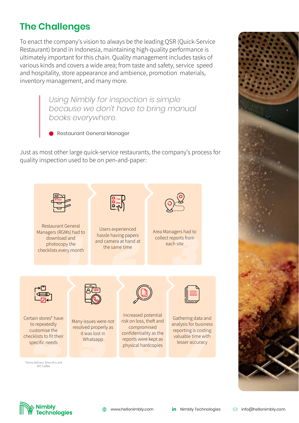## **The Challenges**

To enact the company's vision to always be the leading QSR (Quick-Service Restaurant) brand in Indonesia, maintaining high-quality performance is ultimately important for this chain. Quality management includes tasks of various kinds and covers a wide area; from taste and safety, service speed and hospitality, store appearance and ambience, promotion materials, inventory management, and many more.

> *Using Nimbly for inspection is simple because we don't have to bring manual books everywhere.*

Restaurant General Manager

Just as most other large quick-service restaurants, the company's process for quality inspection used to be on pen-and-paper: